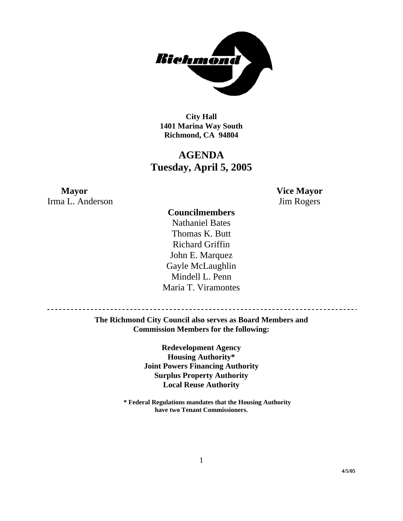

**City Hall 1401 Marina Way South Richmond, CA 94804** 

# **AGENDA Tuesday, April 5, 2005**

**Mayor Vice Mayor** Irma L. Anderson Jim Rogers

## **Councilmembers**

Nathaniel Bates Thomas K. Butt Richard Griffin John E. Marquez Gayle McLaughlin Mindell L. Penn Maria T. Viramontes

-----------------

**The Richmond City Council also serves as Board Members and Commission Members for the following:** 

> **Redevelopment Agency Housing Authority\* Joint Powers Financing Authority Surplus Property Authority Local Reuse Authority**

**\* Federal Regulations mandates that the Housing Authority have two Tenant Commissioners.**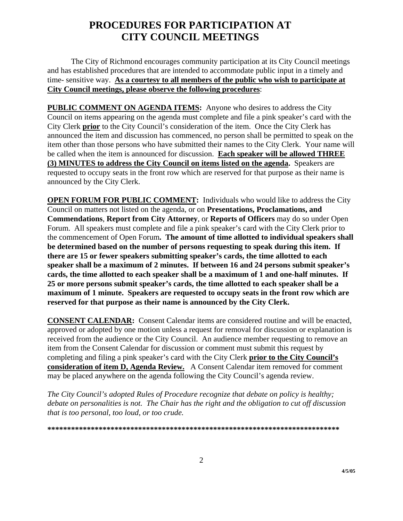# **PROCEDURES FOR PARTICIPATION AT CITY COUNCIL MEETINGS**

The City of Richmond encourages community participation at its City Council meetings and has established procedures that are intended to accommodate public input in a timely and time- sensitive way. **As a courtesy to all members of the public who wish to participate at City Council meetings, please observe the following procedures**:

**PUBLIC COMMENT ON AGENDA ITEMS:** Anyone who desires to address the City Council on items appearing on the agenda must complete and file a pink speaker's card with the City Clerk **prior** to the City Council's consideration of the item. Once the City Clerk has announced the item and discussion has commenced, no person shall be permitted to speak on the item other than those persons who have submitted their names to the City Clerk. Your name will be called when the item is announced for discussion. **Each speaker will be allowed THREE (3) MINUTES to address the City Council on items listed on the agenda.** Speakers are requested to occupy seats in the front row which are reserved for that purpose as their name is announced by the City Clerk.

**OPEN FORUM FOR PUBLIC COMMENT:** Individuals who would like to address the City Council on matters not listed on the agenda, or on **Presentations, Proclamations, and Commendations**, **Report from City Attorney**, or **Reports of Officers** may do so under Open Forum. All speakers must complete and file a pink speaker's card with the City Clerk prior to the commencement of Open Forum**. The amount of time allotted to individual speakers shall be determined based on the number of persons requesting to speak during this item. If there are 15 or fewer speakers submitting speaker's cards, the time allotted to each speaker shall be a maximum of 2 minutes. If between 16 and 24 persons submit speaker's cards, the time allotted to each speaker shall be a maximum of 1 and one-half minutes. If 25 or more persons submit speaker's cards, the time allotted to each speaker shall be a maximum of 1 minute. Speakers are requested to occupy seats in the front row which are reserved for that purpose as their name is announced by the City Clerk.** 

**CONSENT CALENDAR:** Consent Calendar items are considered routine and will be enacted, approved or adopted by one motion unless a request for removal for discussion or explanation is received from the audience or the City Council. An audience member requesting to remove an item from the Consent Calendar for discussion or comment must submit this request by completing and filing a pink speaker's card with the City Clerk **prior to the City Council's consideration of item D, Agenda Review.** A Consent Calendar item removed for comment may be placed anywhere on the agenda following the City Council's agenda review.

*The City Council's adopted Rules of Procedure recognize that debate on policy is healthy; debate on personalities is not. The Chair has the right and the obligation to cut off discussion that is too personal, too loud, or too crude.* 

**\*\*\*\*\*\*\*\*\*\*\*\*\*\*\*\*\*\*\*\*\*\*\*\*\*\*\*\*\*\*\*\*\*\*\*\*\*\*\*\*\*\*\*\*\*\*\*\*\*\*\*\*\*\*\*\*\*\*\*\*\*\*\*\*\*\*\*\*\*\*\*\*\*\***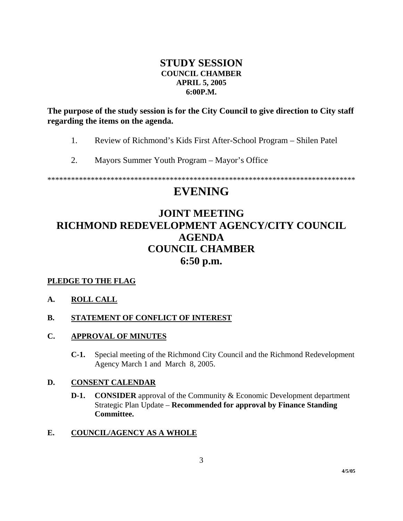## **STUDY SESSION COUNCIL CHAMBER APRIL 5, 2005 6:00P.M.**

**The purpose of the study session is for the City Council to give direction to City staff regarding the items on the agenda.** 

- 1. Review of Richmond's Kids First After-School Program Shilen Patel
- 2. Mayors Summer Youth Program Mayor's Office

\*\*\*\*\*\*\*\*\*\*\*\*\*\*\*\*\*\*\*\*\*\*\*\*\*\*\*\*\*\*\*\*\*\*\*\*\*\*\*\*\*\*\*\*\*\*\*\*\*\*\*\*\*\*\*\*\*\*\*\*\*\*\*\*\*\*\*\*\*\*\*\*\*\*\*\*\*\*

# **EVENING**

# **JOINT MEETING RICHMOND REDEVELOPMENT AGENCY/CITY COUNCIL AGENDA COUNCIL CHAMBER 6:50 p.m.**

## **PLEDGE TO THE FLAG**

#### **A. ROLL CALL**

#### **B.** STATEMENT OF CONFLICT OF INTEREST

#### **C. APPROVAL OF MINUTES**

**C-1.** Special meeting of the Richmond City Council and the Richmond Redevelopment Agency March 1 and March 8, 2005.

#### **D. CONSENT CALENDAR**

**D-1. CONSIDER** approval of the Community & Economic Development department Strategic Plan Update – **Recommended for approval by Finance Standing Committee.**

#### **E. COUNCIL/AGENCY AS A WHOLE**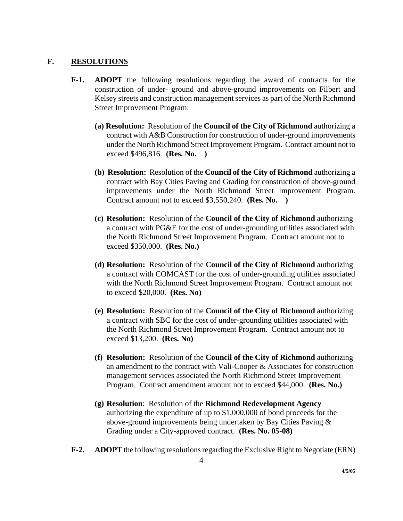#### **F. RESOLUTIONS**

- **F-1. ADOPT** the following resolutions regarding the award of contracts for the construction of under- ground and above-ground improvements on Filbert and Kelsey streets and construction management services as part of the North Richmond Street Improvement Program:
	- **(a) Resolution:** Resolution of the **Council of the City of Richmond** authorizing a contract with A&B Construction for construction of under-ground improvements under the North Richmond Street Improvement Program. Contract amount not to exceed \$496,816. **(Res. No. )**
	- **(b) Resolution:** Resolution of the **Council of the City of Richmond** authorizing a contract with Bay Cities Paving and Grading for construction of above-ground improvements under the North Richmond Street Improvement Program. Contract amount not to exceed \$3,550,240. **(Res. No. )**
	- **(c) Resolution:** Resolution of the **Council of the City of Richmond** authorizing a contract with PG&E for the cost of under-grounding utilities associated with the North Richmond Street Improvement Program. Contract amount not to exceed \$350,000. **(Res. No.)**
	- **(d) Resolution:** Resolution of the **Council of the City of Richmond** authorizing a contract with COMCAST for the cost of under-grounding utilities associated with the North Richmond Street Improvement Program. Contract amount not to exceed \$20,000. **(Res. No)**
	- **(e) Resolution:** Resolution of the **Council of the City of Richmond** authorizing a contract with SBC for the cost of under-grounding utilities associated with the North Richmond Street Improvement Program. Contract amount not to exceed \$13,200. **(Res. No)**
	- **(f) Resolution:** Resolution of the **Council of the City of Richmond** authorizing an amendment to the contract with Vali-Cooper & Associates for construction management services associated the North Richmond Street Improvement Program. Contract amendment amount not to exceed \$44,000. **(Res. No.)**
	- **(g) Resolution**: Resolution of the **Richmond Redevelopment Agency** authorizing the expenditure of up to \$1,000,000 of bond proceeds for the above-ground improvements being undertaken by Bay Cities Paving & Grading under a City-approved contract. **(Res. No. 05-08)**
- **F-2. ADOPT** the following resolutions regarding the Exclusive Right to Negotiate (ERN)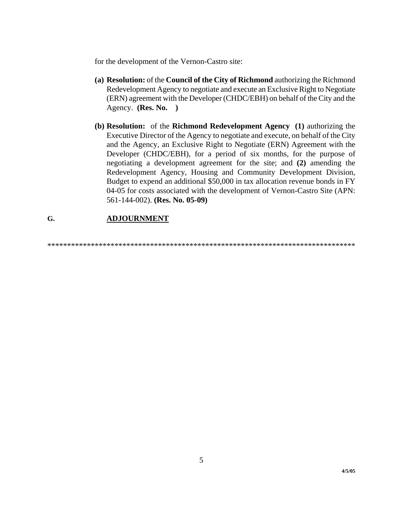for the development of the Vernon-Castro site:

- **(a) Resolution:** of the **Council of the City of Richmond** authorizing the Richmond Redevelopment Agency to negotiate and execute an Exclusive Right to Negotiate (ERN) agreement with the Developer (CHDC/EBH) on behalf of the City and the Agency. **(Res. No. )**
- **(b) Resolution:** of the **Richmond Redevelopment Agency (1)** authorizing the Executive Director of the Agency to negotiate and execute, on behalf of the City and the Agency, an Exclusive Right to Negotiate (ERN) Agreement with the Developer (CHDC/EBH), for a period of six months, for the purpose of negotiating a development agreement for the site; and **(2)** amending the Redevelopment Agency, Housing and Community Development Division, Budget to expend an additional \$50,000 in tax allocation revenue bonds in FY 04-05 for costs associated with the development of Vernon-Castro Site (APN: 561-144-002). **(Res. No. 05-09)**

#### **G. ADJOURNMENT**

\*\*\*\*\*\*\*\*\*\*\*\*\*\*\*\*\*\*\*\*\*\*\*\*\*\*\*\*\*\*\*\*\*\*\*\*\*\*\*\*\*\*\*\*\*\*\*\*\*\*\*\*\*\*\*\*\*\*\*\*\*\*\*\*\*\*\*\*\*\*\*\*\*\*\*\*\*\*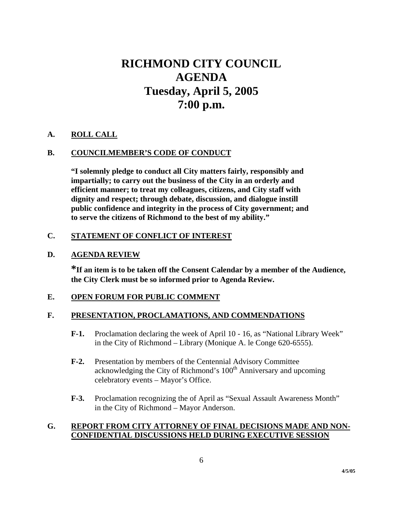# **RICHMOND CITY COUNCIL AGENDA Tuesday, April 5, 2005 7:00 p.m.**

#### **A. ROLL CALL**

#### **B. COUNCILMEMBER'S CODE OF CONDUCT**

 **"I solemnly pledge to conduct all City matters fairly, responsibly and impartially; to carry out the business of the City in an orderly and efficient manner; to treat my colleagues, citizens, and City staff with dignity and respect; through debate, discussion, and dialogue instill public confidence and integrity in the process of City government; and to serve the citizens of Richmond to the best of my ability."** 

#### **C. STATEMENT OF CONFLICT OF INTEREST**

#### **D. AGENDA REVIEW**

**\*If an item is to be taken off the Consent Calendar by a member of the Audience, the City Clerk must be so informed prior to Agenda Review.** 

#### **E. OPEN FORUM FOR PUBLIC COMMENT**

#### **F. PRESENTATION, PROCLAMATIONS, AND COMMENDATIONS**

- **F-1.** Proclamation declaring the week of April 10 16, as "National Library Week" in the City of Richmond – Library (Monique A. le Conge 620-6555).
- **F-2.** Presentation by members of the Centennial Advisory Committee acknowledging the City of Richmond's 100<sup>th</sup> Anniversary and upcoming celebratory events – Mayor's Office.
- **F-3.** Proclamation recognizing the of April as "Sexual Assault Awareness Month" in the City of Richmond – Mayor Anderson.

#### **G. REPORT FROM CITY ATTORNEY OF FINAL DECISIONS MADE AND NON- CONFIDENTIAL DISCUSSIONS HELD DURING EXECUTIVE SESSION**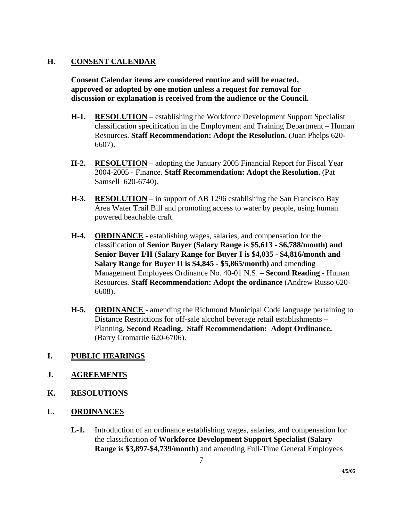#### **H. CONSENT CALENDAR**

 **Consent Calendar items are considered routine and will be enacted, approved or adopted by one motion unless a request for removal for discussion or explanation is received from the audience or the Council.** 

- **H-1. RESOLUTION** establishing the Workforce Development Support Specialist classification specification in the Employment and Training Department – Human Resources. **Staff Recommendation: Adopt the Resolution.** (Juan Phelps 620- 6607).
- **H-2. RESOLUTION** adopting the January 2005 Financial Report for Fiscal Year 2004-2005 - Finance. **Staff Recommendation: Adopt the Resolution.** (Pat Samsell 620-6740).
- **H-3. RESOLUTION** in support of AB 1296 establishing the San Francisco Bay Area Water Trail Bill and promoting access to water by people, using human powered beachable craft.
- **H-4. ORDINANCE** establishing wages, salaries, and compensation for the classification of **Senior Buyer (Salary Range is \$5,613 - \$6,788/month) and Senior Buyer I/II (Salary Range for Buyer I is \$4,035 - \$4,816/month and Salary Range for Buyer II is \$4,845 - \$5,865/month)** and amending Management Employees Ordinance No. 40-01 N.S. – **Second Reading -** Human Resources. **Staff Recommendation: Adopt the ordinance** (Andrew Russo 620- 6608).
- **H-5. ORDINANCE**  amending the Richmond Municipal Code language pertaining to Distance Restrictions for off-sale alcohol beverage retail establishments – Planning. **Second Reading. Staff Recommendation: Adopt Ordinance.**  (Barry Cromartie 620-6706).
- **I. PUBLIC HEARINGS**
- **J. AGREEMENTS**
- **K. RESOLUTIONS**
- **L. ORDINANCES**
	- **L-1.** Introduction of an ordinance establishing wages, salaries, and compensation for the classification of **Workforce Development Support Specialist (Salary Range is \$3,897-\$4,739/month)** and amending Full-Time General Employees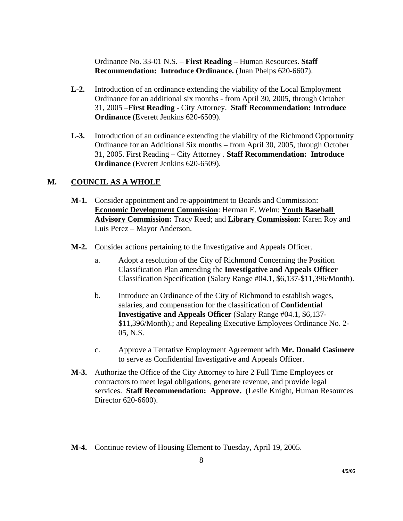Ordinance No. 33-01 N.S. – **First Reading –** Human Resources. **Staff Recommendation: Introduce Ordinance.** (Juan Phelps 620-6607).

- **L-2.** Introduction of an ordinance extending the viability of the Local Employment Ordinance for an additional six months - from April 30, 2005, through October 31, 2005 –**First Reading -** City Attorney. **Staff Recommendation: Introduce Ordinance** (Everett Jenkins 620-6509).
- **L-3.** Introduction of an ordinance extending the viability of the Richmond Opportunity Ordinance for an Additional Six months – from April 30, 2005, through October 31, 2005. First Reading – City Attorney . **Staff Recommendation: Introduce Ordinance** (Everett Jenkins 620-6509).

#### **M. COUNCIL AS A WHOLE**

- **M-1.** Consider appointment and re-appointment to Boards and Commission: **Economic Development Commission**: Herman E. Welm; **Youth Baseball Advisory Commission:** Tracy Reed; and **Library Commission**: Karen Roy and Luis Perez – Mayor Anderson.
- **M-2.** Consider actions pertaining to the Investigative and Appeals Officer.
	- a. Adopt a resolution of the City of Richmond Concerning the Position Classification Plan amending the **Investigative and Appeals Officer**  Classification Specification (Salary Range #04.1, \$6,137-\$11,396/Month).
	- b. Introduce an Ordinance of the City of Richmond to establish wages, salaries, and compensation for the classification of **Confidential Investigative and Appeals Officer** (Salary Range #04.1, \$6,137- \$11,396/Month).; and Repealing Executive Employees Ordinance No. 2- 05, N.S.
	- c. Approve a Tentative Employment Agreement with **Mr. Donald Casimere**  to serve as Confidential Investigative and Appeals Officer.
- **M-3.** Authorize the Office of the City Attorney to hire 2 Full Time Employees or contractors to meet legal obligations, generate revenue, and provide legal services. **Staff Recommendation: Approve.** (Leslie Knight, Human Resources Director 620-6600).
- **M-4.** Continue review of Housing Element to Tuesday, April 19, 2005.